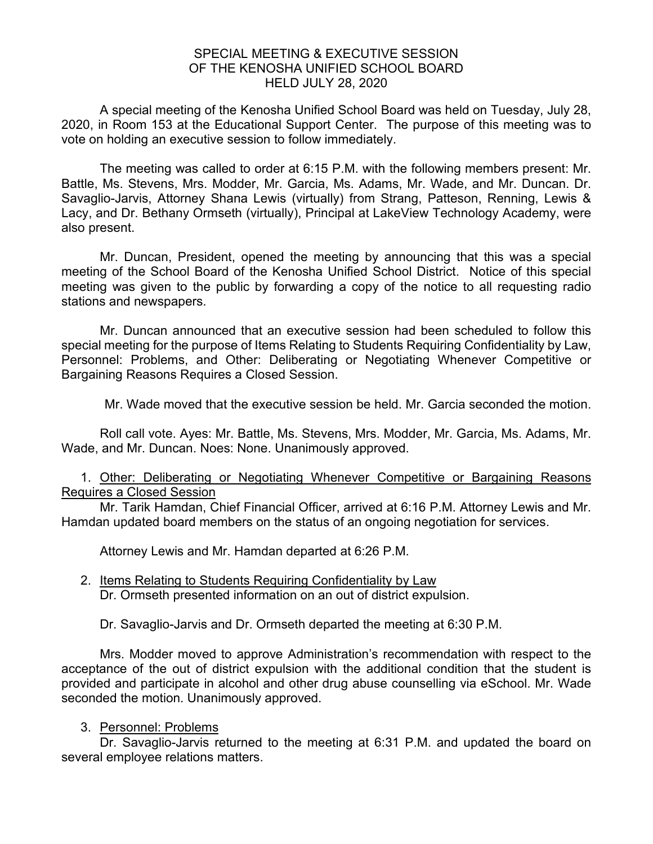## SPECIAL MEETING & EXECUTIVE SESSION OF THE KENOSHA UNIFIED SCHOOL BOARD HELD JULY 28, 2020

A special meeting of the Kenosha Unified School Board was held on Tuesday, July 28, 2020, in Room 153 at the Educational Support Center. The purpose of this meeting was to vote on holding an executive session to follow immediately.

The meeting was called to order at 6:15 P.M. with the following members present: Mr. Battle, Ms. Stevens, Mrs. Modder, Mr. Garcia, Ms. Adams, Mr. Wade, and Mr. Duncan. Dr. Savaglio-Jarvis, Attorney Shana Lewis (virtually) from Strang, Patteson, Renning, Lewis & Lacy, and Dr. Bethany Ormseth (virtually), Principal at LakeView Technology Academy, were also present.

Mr. Duncan, President, opened the meeting by announcing that this was a special meeting of the School Board of the Kenosha Unified School District. Notice of this special meeting was given to the public by forwarding a copy of the notice to all requesting radio stations and newspapers.

Mr. Duncan announced that an executive session had been scheduled to follow this special meeting for the purpose of Items Relating to Students Requiring Confidentiality by Law, Personnel: Problems, and Other: Deliberating or Negotiating Whenever Competitive or Bargaining Reasons Requires a Closed Session.

Mr. Wade moved that the executive session be held. Mr. Garcia seconded the motion.

Roll call vote. Ayes: Mr. Battle, Ms. Stevens, Mrs. Modder, Mr. Garcia, Ms. Adams, Mr. Wade, and Mr. Duncan. Noes: None. Unanimously approved.

1. Other: Deliberating or Negotiating Whenever Competitive or Bargaining Reasons Requires a Closed Session

Mr. Tarik Hamdan, Chief Financial Officer, arrived at 6:16 P.M. Attorney Lewis and Mr. Hamdan updated board members on the status of an ongoing negotiation for services.

Attorney Lewis and Mr. Hamdan departed at 6:26 P.M.

2. Items Relating to Students Requiring Confidentiality by Law Dr. Ormseth presented information on an out of district expulsion.

Dr. Savaglio-Jarvis and Dr. Ormseth departed the meeting at 6:30 P.M.

Mrs. Modder moved to approve Administration's recommendation with respect to the acceptance of the out of district expulsion with the additional condition that the student is provided and participate in alcohol and other drug abuse counselling via eSchool. Mr. Wade seconded the motion. Unanimously approved.

## 3. Personnel: Problems

Dr. Savaglio-Jarvis returned to the meeting at 6:31 P.M. and updated the board on several employee relations matters.